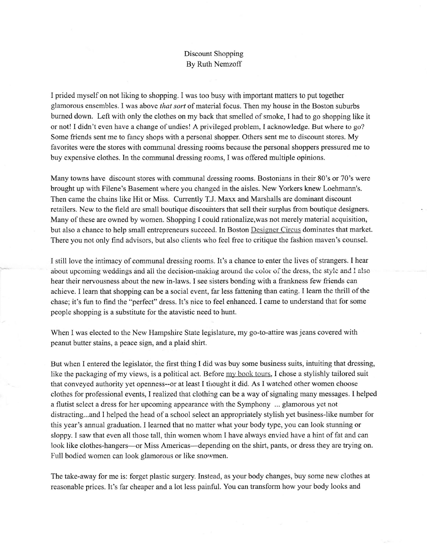## Discount Shopping By Ruth Nemzoff

I prided myself on not liking to shopping. I was too busy with important matters to put together glamorous ensembles. I was above *that sort* of material focus. Then my house in the Boston suburbs burned down. Left with only the clothes on my back that smelled of smoke, I had to go shopping like it or not! I didn't even have a change of undies! A privileged problem, I acknowledge. But where to go? Some friends sent me to fancy shops with a personal shopper. Others sent me to discount stores. My favorites were the stores with communal dressing rooms because the personal shoppers pressured me to buy expensive clothes. In the communal dressing rooms, I was offered multiple opinions.

Many towns have discount stores with communal dressing rooms. Bostonians in their 80's or 70's were brought up with Filene's Basement where you changed in the aisles. New Yorkers knew Loehmann's. Then came the chains like Hit or Miss. Currently T.J. Maxx and Marshalls are dominant discount retailers. New to the field are small boutique discounters that sell their surplus from boutique designers. Many of these are owned by women. Shopping I couid rationalize,was not merely material acquisition, but also a chance to help small entrepreneurs succeed. In Boston Designer Circug dominates that market. There you not only find advisors, but also clients who feel free to critique the fashion maven's counsel.

I still love the intimacy of communal dressing rooms. It's a chance to enter the lives of strangers. I hear about upcoming weddings and all the decision-making around the color of the dress, the style and I also hear their nervousness about the new in-laws. I see sisters bonding with a frankness few friends can achieve. I learn that shopping can be a social event, far less fattening than eating. I learn the thrill of the chase; it's fun to find the "perfect" dress. It's nice to feel enhanced. I came to understand that for some people shopping is a substitute for the atavistic need to hunt.

When I was elected to the New Hampshire State legislature, my go-to-attire was jeans covered with peanut butter stains, a peace sign, and a plaid shirt.

But when I entered the legislator, the first thing I did was buy some business suits, intuiting that dressing, like the packaging of my views, is a political act. Before my book tours, I chose a stylishly tailored suit that conveyed authority yet openness--or at least I thought it did. As I watched other women choose clothes for professional events, I realized that clothing can be a way of signaling many messages. I helped a flutist select a dress for her upcoming appearance with the Symphony ... glamorous yet not distracting...and I helped the head of a school select an appropriately stylish yet business-like number for this year's annual graduation. I learned that no matter what your body type, you can look stunning or sloppy. I saw that even all those tall, thin women whom I have always envied have a hint of fat and can look like clothes-hangers---or Miss Americas---depending on the shirt, pants, or dress they are trying on. Full bodied women can look glamorous or like snowmen.

The take-away for me is: forget plastic surgery. Instead, as your body changes, buy some new clothes at reasonable prices. It's far cheaper and a lot less painful. You can transform how your body looks and